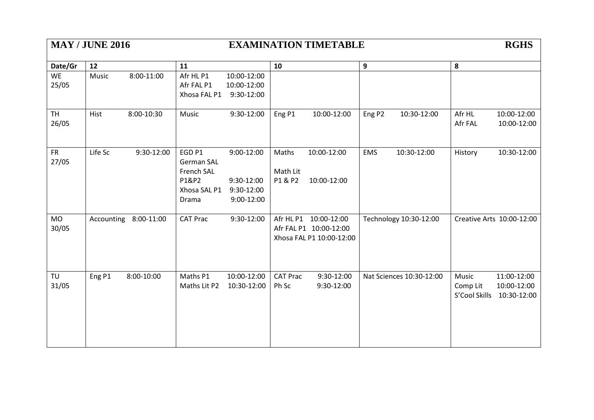| <b>MAY / JUNE 2016</b> |         |                       |                   | <b>EXAMINATION TIMETABLE</b> |                 |                          |                    |                          |               | <b>RGHS</b>               |  |  |
|------------------------|---------|-----------------------|-------------------|------------------------------|-----------------|--------------------------|--------------------|--------------------------|---------------|---------------------------|--|--|
| Date/Gr                | 12      |                       | 11                |                              | 10              |                          | 9                  |                          | ${\bf 8}$     |                           |  |  |
| <b>WE</b>              | Music   | 8:00-11:00            | Afr HL P1         | 10:00-12:00                  |                 |                          |                    |                          |               |                           |  |  |
| 25/05                  |         |                       | Afr FAL P1        | 10:00-12:00                  |                 |                          |                    |                          |               |                           |  |  |
|                        |         |                       | Xhosa FAL P1      | 9:30-12:00                   |                 |                          |                    |                          |               |                           |  |  |
| <b>TH</b>              | Hist    | 8:00-10:30            | Music             | 9:30-12:00                   | Eng P1          | 10:00-12:00              | Eng P <sub>2</sub> | 10:30-12:00              | Afr HL        | 10:00-12:00               |  |  |
| 26/05                  |         |                       |                   |                              |                 |                          |                    |                          | Afr FAL       | 10:00-12:00               |  |  |
| <b>FR</b>              | Life Sc | 9:30-12:00            | EGD <sub>P1</sub> | 9:00-12:00                   | Maths           | 10:00-12:00              | <b>EMS</b>         | 10:30-12:00              | History       | 10:30-12:00               |  |  |
| 27/05                  |         |                       | <b>German SAL</b> |                              |                 |                          |                    |                          |               |                           |  |  |
|                        |         |                       | French SAL        |                              | Math Lit        |                          |                    |                          |               |                           |  |  |
|                        |         |                       | P1&P2             | 9:30-12:00                   | P1 & P2         | 10:00-12:00              |                    |                          |               |                           |  |  |
|                        |         |                       | Xhosa SAL P1      | 9:30-12:00                   |                 |                          |                    |                          |               |                           |  |  |
|                        |         |                       | Drama             | 9:00-12:00                   |                 |                          |                    |                          |               |                           |  |  |
| <b>MO</b>              |         | Accounting 8:00-11:00 | <b>CAT Prac</b>   | 9:30-12:00                   |                 | Afr HL P1 10:00-12:00    |                    | Technology 10:30-12:00   |               | Creative Arts 10:00-12:00 |  |  |
| 30/05                  |         |                       |                   |                              |                 | Afr FAL P1 10:00-12:00   |                    |                          |               |                           |  |  |
|                        |         |                       |                   |                              |                 | Xhosa FAL P1 10:00-12:00 |                    |                          |               |                           |  |  |
| TU                     | Eng P1  | 8:00-10:00            | Maths P1          | 10:00-12:00                  | <b>CAT Prac</b> | 9:30-12:00               |                    | Nat Sciences 10:30-12:00 | Music         | 11:00-12:00               |  |  |
| 31/05                  |         |                       | Maths Lit P2      | 10:30-12:00                  | Ph Sc           | 9:30-12:00               |                    |                          | Comp Lit      | 10:00-12:00               |  |  |
|                        |         |                       |                   |                              |                 |                          |                    |                          | S'Cool Skills | 10:30-12:00               |  |  |
|                        |         |                       |                   |                              |                 |                          |                    |                          |               |                           |  |  |
|                        |         |                       |                   |                              |                 |                          |                    |                          |               |                           |  |  |
|                        |         |                       |                   |                              |                 |                          |                    |                          |               |                           |  |  |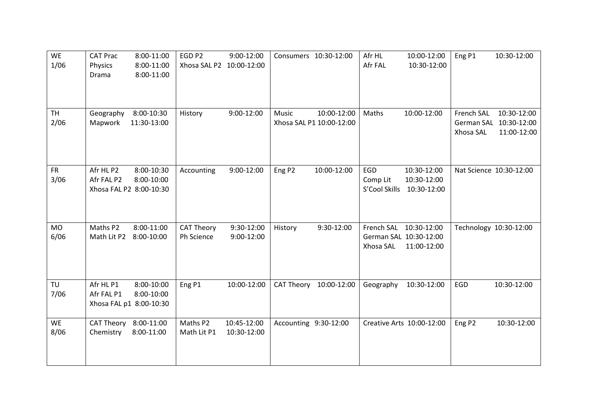| <b>WE</b><br>1/06 | <b>CAT Prac</b><br>8:00-11:00<br>Physics<br>8:00-11:00<br>Drama<br>8:00-11:00  | EGD <sub>P2</sub><br>Xhosa SAL P2 10:00-12:00 | 9:00-12:00                          | Consumers 10:30-12:00                   | Afr HL<br>Afr FAL                | 10:00-12:00<br>10:30-12:00                                      | Eng P1                  | 10:30-12:00                                          |
|-------------------|--------------------------------------------------------------------------------|-----------------------------------------------|-------------------------------------|-----------------------------------------|----------------------------------|-----------------------------------------------------------------|-------------------------|------------------------------------------------------|
| <b>TH</b><br>2/06 | 8:00-10:30<br>Geography<br>Mapwork<br>11:30-13:00                              | History                                       | 9:00-12:00<br>Music                 | 10:00-12:00<br>Xhosa SAL P1 10:00-12:00 | Maths                            | 10:00-12:00                                                     | French SAL<br>Xhosa SAL | 10:30-12:00<br>German SAL 10:30-12:00<br>11:00-12:00 |
| <b>FR</b><br>3/06 | Afr HL P2<br>8:00-10:30<br>Afr FAL P2<br>8:00-10:00<br>Xhosa FAL P2 8:00-10:30 | Accounting                                    | 9:00-12:00<br>Eng P <sub>2</sub>    | 10:00-12:00                             | EGD<br>Comp Lit<br>S'Cool Skills | 10:30-12:00<br>10:30-12:00<br>10:30-12:00                       |                         | Nat Science 10:30-12:00                              |
| <b>MO</b><br>6/06 | Maths P2<br>8:00-11:00<br>Math Lit P2<br>8:00-10:00                            | <b>CAT Theory</b><br>Ph Science               | 9:30-12:00<br>History<br>9:00-12:00 | 9:30-12:00                              | Xhosa SAL                        | French SAL 10:30-12:00<br>German SAL 10:30-12:00<br>11:00-12:00 |                         | Technology 10:30-12:00                               |
| TU<br>7/06        | Afr HL P1<br>8:00-10:00<br>Afr FAL P1<br>8:00-10:00<br>Xhosa FAL p1 8:00-10:30 | Eng P1                                        | 10:00-12:00                         | CAT Theory 10:00-12:00                  | Geography                        | 10:30-12:00                                                     | EGD                     | 10:30-12:00                                          |
| <b>WE</b><br>8/06 | CAT Theory 8:00-11:00<br>8:00-11:00<br>Chemistry                               | Maths P2<br>Math Lit P1                       | 10:45-12:00<br>10:30-12:00          | Accounting 9:30-12:00                   |                                  | Creative Arts 10:00-12:00                                       | Eng P <sub>2</sub>      | 10:30-12:00                                          |